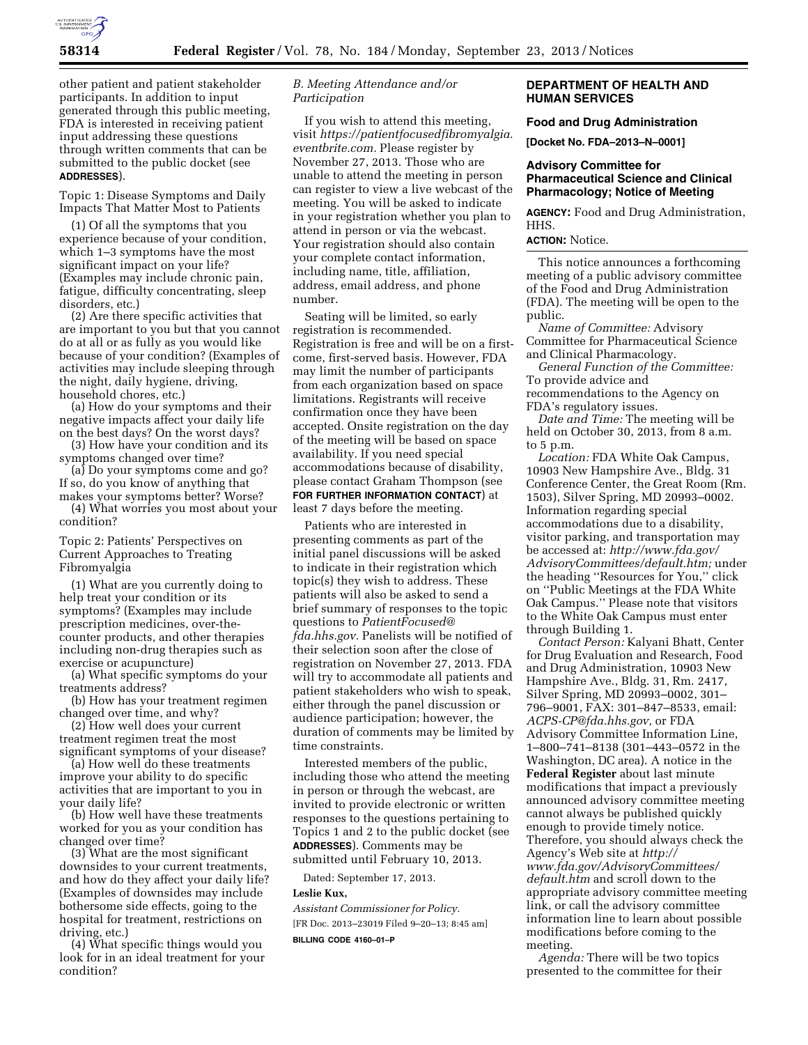

other patient and patient stakeholder participants. In addition to input generated through this public meeting, FDA is interested in receiving patient input addressing these questions through written comments that can be submitted to the public docket (see **ADDRESSES**).

Topic 1: Disease Symptoms and Daily Impacts That Matter Most to Patients

(1) Of all the symptoms that you experience because of your condition, which 1–3 symptoms have the most significant impact on your life? (Examples may include chronic pain, fatigue, difficulty concentrating, sleep disorders, etc.)

(2) Are there specific activities that are important to you but that you cannot do at all or as fully as you would like because of your condition? (Examples of activities may include sleeping through the night, daily hygiene, driving, household chores, etc.)

(a) How do your symptoms and their negative impacts affect your daily life on the best days? On the worst days?

(3) How have your condition and its symptoms changed over time?

(a) Do your symptoms come and go? If so, do you know of anything that makes your symptoms better? Worse?

(4) What worries you most about your condition?

Topic 2: Patients' Perspectives on Current Approaches to Treating Fibromyalgia

(1) What are you currently doing to help treat your condition or its symptoms? (Examples may include prescription medicines, over-thecounter products, and other therapies including non-drug therapies such as exercise or acupuncture)

(a) What specific symptoms do your treatments address?

(b) How has your treatment regimen changed over time, and why?

(2) How well does your current treatment regimen treat the most significant symptoms of your disease?

(a) How well do these treatments improve your ability to do specific activities that are important to you in your daily life?

(b) How well have these treatments worked for you as your condition has changed over time?

(3) What are the most significant downsides to your current treatments, and how do they affect your daily life? (Examples of downsides may include bothersome side effects, going to the hospital for treatment, restrictions on driving, etc.)

(4) What specific things would you look for in an ideal treatment for your condition?

## *B. Meeting Attendance and/or Participation*

If you wish to attend this meeting, visit *[https://patientfocusedfibromyalgia.](https://patientfocusedfibromyalgia.eventbrite.com) [eventbrite.com.](https://patientfocusedfibromyalgia.eventbrite.com)* Please register by November 27, 2013. Those who are unable to attend the meeting in person can register to view a live webcast of the meeting. You will be asked to indicate in your registration whether you plan to attend in person or via the webcast. Your registration should also contain your complete contact information, including name, title, affiliation, address, email address, and phone number.

Seating will be limited, so early registration is recommended. Registration is free and will be on a firstcome, first-served basis. However, FDA may limit the number of participants from each organization based on space limitations. Registrants will receive confirmation once they have been accepted. Onsite registration on the day of the meeting will be based on space availability. If you need special accommodations because of disability, please contact Graham Thompson (see **FOR FURTHER INFORMATION CONTACT**) at least 7 days before the meeting.

Patients who are interested in presenting comments as part of the initial panel discussions will be asked to indicate in their registration which topic(s) they wish to address. These patients will also be asked to send a brief summary of responses to the topic questions to *[PatientFocused@](mailto:PatientFocused@fda.hhs.gov) [fda.hhs.gov.](mailto:PatientFocused@fda.hhs.gov)* Panelists will be notified of their selection soon after the close of registration on November 27, 2013. FDA will try to accommodate all patients and patient stakeholders who wish to speak, either through the panel discussion or audience participation; however, the duration of comments may be limited by time constraints.

Interested members of the public, including those who attend the meeting in person or through the webcast, are invited to provide electronic or written responses to the questions pertaining to Topics 1 and 2 to the public docket (see **ADDRESSES**). Comments may be submitted until February 10, 2013.

Dated: September 17, 2013.

### **Leslie Kux,**

*Assistant Commissioner for Policy.*  [FR Doc. 2013–23019 Filed 9–20–13; 8:45 am]

#### **BILLING CODE 4160–01–P**

# **DEPARTMENT OF HEALTH AND HUMAN SERVICES**

## **Food and Drug Administration**

**[Docket No. FDA–2013–N–0001]** 

## **Advisory Committee for Pharmaceutical Science and Clinical Pharmacology; Notice of Meeting**

**AGENCY:** Food and Drug Administration, HHS.

### **ACTION:** Notice.

This notice announces a forthcoming meeting of a public advisory committee of the Food and Drug Administration (FDA). The meeting will be open to the public.

*Name of Committee:* Advisory Committee for Pharmaceutical Science and Clinical Pharmacology.

*General Function of the Committee:*  To provide advice and recommendations to the Agency on

FDA's regulatory issues.

*Date and Time:* The meeting will be held on October 30, 2013, from 8 a.m. to 5 p.m.

*Location:* FDA White Oak Campus, 10903 New Hampshire Ave., Bldg. 31 Conference Center, the Great Room (Rm. 1503), Silver Spring, MD 20993–0002. Information regarding special accommodations due to a disability, visitor parking, and transportation may be accessed at: *[http://www.fda.gov/](http://www.fda.gov/AdvisoryCommittees/default.htm) [AdvisoryCommittees/default.htm;](http://www.fda.gov/AdvisoryCommittees/default.htm)* under the heading ''Resources for You,'' click on ''Public Meetings at the FDA White Oak Campus.'' Please note that visitors to the White Oak Campus must enter through Building 1.

*Contact Person:* Kalyani Bhatt, Center for Drug Evaluation and Research, Food and Drug Administration, 10903 New Hampshire Ave., Bldg. 31, Rm. 2417, Silver Spring, MD 20993–0002, 301– 796–9001, FAX: 301–847–8533, email: *[ACPS-CP@fda.hhs.gov,](mailto:ACPS-CP@fda.hhs.gov)* or FDA Advisory Committee Information Line, 1–800–741–8138 (301–443–0572 in the Washington, DC area). A notice in the **Federal Register** about last minute modifications that impact a previously announced advisory committee meeting cannot always be published quickly enough to provide timely notice. Therefore, you should always check the Agency's Web site at *[http://](http://www.fda.gov/AdvisoryCommittees/default.htm) [www.fda.gov/AdvisoryCommittees/](http://www.fda.gov/AdvisoryCommittees/default.htm) [default.htm](http://www.fda.gov/AdvisoryCommittees/default.htm)* and scroll down to the appropriate advisory committee meeting link, or call the advisory committee information line to learn about possible modifications before coming to the meeting.

*Agenda:* There will be two topics presented to the committee for their